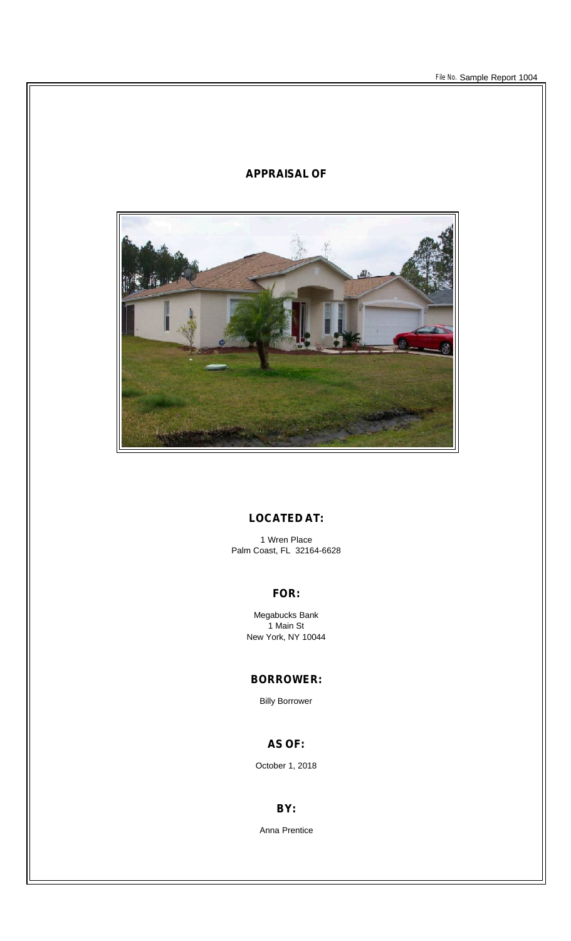### **APPRAISAL OF**



### **LOCATED AT:**

Palm Coast, FL 32164-6628 1 Wren Place

### **FOR:**

New York, NY 10044 1 Main St Megabucks Bank

### **BORROWER:**

Billy Borrower

### **AS OF:**

October 1, 2018

### **BY:**

Anna Prentice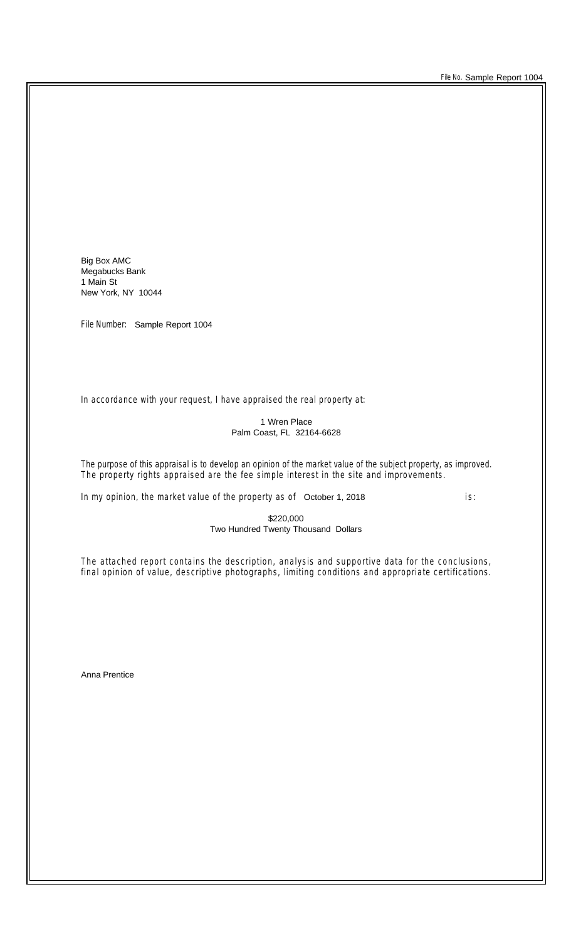New York, NY 10044 1 Main St Megabucks Bank Big Box AMC

File Number: Sample Report 1004

In accordance with your request, I have appraised the real property at:

Palm Coast, FL 32164-6628 1 Wren Place

The purpose of this appraisal is to develop an opinion of the market value of the subject property, as improved. The property rights appraised are the fee simple interest in the site and improvements.

In my opinion, the market value of the property as of **October 1, 2018 Example 2** is:

Two Hundred Twenty Thousand Dollars \$220,000

The attached report contains the description, analysis and supportive data for the conclusions, final opinion of value, descriptive photographs, limiting conditions and appropriate certifications.

Anna Prentice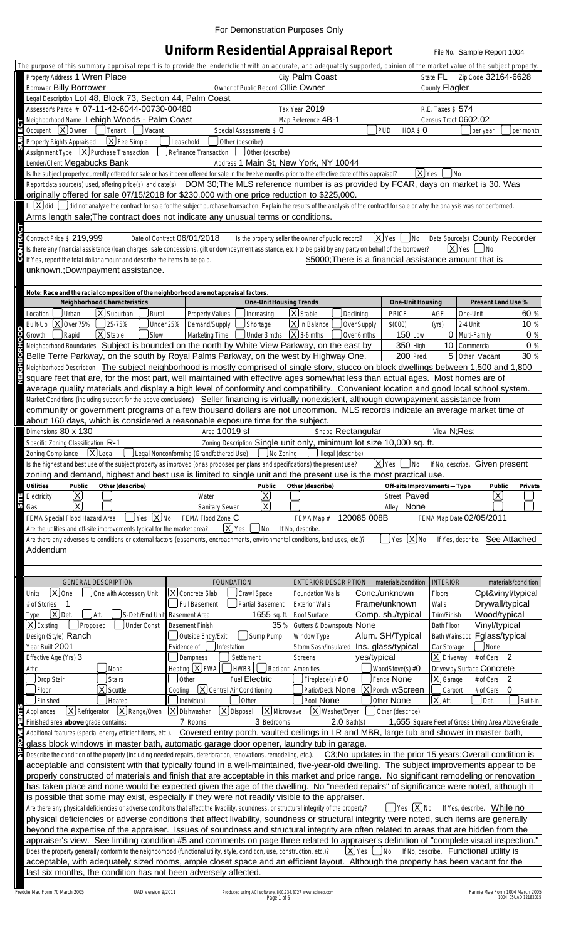### For Demonstration Purposes Only

## **Uniform Residential Appraisal Report**

|                                                                                                                                                        |                                                                                                                                | <b>Uniform Residential Appraisal Report</b>                              |                                                            |                                                    |                                                                                                                                                             | File No. Sample Report 1004                                                                                                                                                                   |
|--------------------------------------------------------------------------------------------------------------------------------------------------------|--------------------------------------------------------------------------------------------------------------------------------|--------------------------------------------------------------------------|------------------------------------------------------------|----------------------------------------------------|-------------------------------------------------------------------------------------------------------------------------------------------------------------|-----------------------------------------------------------------------------------------------------------------------------------------------------------------------------------------------|
|                                                                                                                                                        |                                                                                                                                |                                                                          |                                                            |                                                    |                                                                                                                                                             | The purpose of this summary appraisal report is to provide the lender/client with an accurate, and adequately supported, opinion of the market value of the subject property.                 |
| Property Address 1 Wren Place                                                                                                                          |                                                                                                                                |                                                                          |                                                            | City Palm Coast                                    |                                                                                                                                                             | State FL<br>Zip Code 32164-6628                                                                                                                                                               |
| <b>Borrower Billy Borrower</b>                                                                                                                         |                                                                                                                                |                                                                          | Owner of Public Record Ollie Owner                         |                                                    |                                                                                                                                                             | County Flagler                                                                                                                                                                                |
| Legal Description Lot 48, Block 73, Section 44, Palm Coast<br>Assessor's Parcel # 07-11-42-6044-00730-00480                                            |                                                                                                                                |                                                                          |                                                            | Tax Year 2019                                      |                                                                                                                                                             | R.E. Taxes \$574                                                                                                                                                                              |
|                                                                                                                                                        | Neighborhood Name Lehigh Woods - Palm Coast                                                                                    |                                                                          |                                                            | Map Reference 4B-1                                 |                                                                                                                                                             | Census Tract 0602.02                                                                                                                                                                          |
| $\lfloor$ X $\rfloor$ Owner<br>Occupant                                                                                                                | Tenant<br>Vacant                                                                                                               |                                                                          | Special Assessments \$ 0                                   |                                                    | PUD<br>HOA \$ $0$                                                                                                                                           | per year<br>per month                                                                                                                                                                         |
| Property Rights Appraised                                                                                                                              | [X] Fee Simple                                                                                                                 | Leasehold                                                                | Other (describe)                                           |                                                    |                                                                                                                                                             |                                                                                                                                                                                               |
| Assignment Type $\lfloor x \rfloor$ Purchase Transaction                                                                                               |                                                                                                                                | Refinance Transaction                                                    | Other (describe)                                           |                                                    |                                                                                                                                                             |                                                                                                                                                                                               |
| Lender/Client Megabucks Bank                                                                                                                           |                                                                                                                                |                                                                          | Address 1 Main St, New York, NY 10044                      |                                                    |                                                                                                                                                             |                                                                                                                                                                                               |
| Is the subject property currently offered for sale or has it been offered for sale in the twelve months prior to the effective date of this appraisal? |                                                                                                                                |                                                                          |                                                            |                                                    | $[X]$ Yes                                                                                                                                                   | J No                                                                                                                                                                                          |
| originally offered for sale 07/15/2018 for \$230,000 with one price reduction to \$225,000.                                                            |                                                                                                                                |                                                                          |                                                            |                                                    |                                                                                                                                                             | Report data source(s) used, offering price(s), and date(s). DOM 30; The MLS reference number is as provided by FCAR, days on market is 30. Was                                                |
|                                                                                                                                                        |                                                                                                                                |                                                                          |                                                            |                                                    |                                                                                                                                                             | I   X   did   did not analyze the contract for sale for the subject purchase transaction. Explain the results of the analysis of the contract for sale or why the analysis was not performed. |
| Arms length sale; The contract does not indicate any unusual terms or conditions.                                                                      |                                                                                                                                |                                                                          |                                                            |                                                    |                                                                                                                                                             |                                                                                                                                                                                               |
|                                                                                                                                                        |                                                                                                                                |                                                                          |                                                            |                                                    |                                                                                                                                                             |                                                                                                                                                                                               |
| Contract Price \$ 219,999                                                                                                                              |                                                                                                                                | Date of Contract 06/01/2018                                              |                                                            | Is the property seller the owner of public record? | $\lfloor \chi \rfloor$ Yes<br>J No                                                                                                                          | Data Source(s) County Recorder                                                                                                                                                                |
|                                                                                                                                                        |                                                                                                                                |                                                                          |                                                            |                                                    | Is there any financial assistance (loan charges, sale concessions, gift or downpayment assistance, etc.) to be paid by any party on behalf of the borrower? | $ X $ Yes<br>$\blacksquare$ No                                                                                                                                                                |
| If Yes, report the total dollar amount and describe the items to be paid.<br>unknown.; Downpayment assistance.                                         |                                                                                                                                |                                                                          |                                                            |                                                    | \$5000; There is a financial assistance amount that is                                                                                                      |                                                                                                                                                                                               |
|                                                                                                                                                        |                                                                                                                                |                                                                          |                                                            |                                                    |                                                                                                                                                             |                                                                                                                                                                                               |
|                                                                                                                                                        | Note: Race and the racial composition of the neighborhood are not appraisal factors.                                           |                                                                          |                                                            |                                                    |                                                                                                                                                             |                                                                                                                                                                                               |
|                                                                                                                                                        | Neighborhood Characteristics                                                                                                   |                                                                          | <b>One-Unit Housing Trends</b>                             |                                                    | One-Unit Housing                                                                                                                                            | Present Land Use %                                                                                                                                                                            |
| Urban<br>Location                                                                                                                                      | X Suburban<br>Rural                                                                                                            | Property Values                                                          | Increasing                                                 | X Stable                                           | Declining<br><b>PRICE</b>                                                                                                                                   | AGE<br>One-Unit<br>60 %                                                                                                                                                                       |
| Built-Up $[X]$ Over 75%                                                                                                                                | 25-75%                                                                                                                         | Under 25%<br>Demand/Supply                                               | Shortage                                                   | $[X]$ In Balance                                   | Over Supply<br>\$(000)                                                                                                                                      | 10 %<br>2-4 Unit<br>(yrs)                                                                                                                                                                     |
| Rapid<br>Growth                                                                                                                                        | $[X]$ Stable<br>Slow                                                                                                           | Marketing Time                                                           | JUnder 3 mths $\{X\}$ 3-6 mths                             |                                                    | <b>150 Low</b><br>Over 6 mths                                                                                                                               | O   Multi-Family<br>0%                                                                                                                                                                        |
|                                                                                                                                                        | Neighborhood Boundaries Subject is bounded on the north by White View Parkway, on the east by                                  |                                                                          |                                                            |                                                    | 350 High                                                                                                                                                    | 10   Commercial<br>0%                                                                                                                                                                         |
| Belle Terre Parkway, on the south by Royal Palms Parkway, on the west by Highway One.                                                                  |                                                                                                                                |                                                                          |                                                            |                                                    | 200 Pred.                                                                                                                                                   | 5 Other Vacant<br>30 %                                                                                                                                                                        |
|                                                                                                                                                        |                                                                                                                                |                                                                          |                                                            |                                                    | square feet that are, for the most part, well maintained with effective ages somewhat less than actual ages. Most homes are of                              | Neighborhood Description The subject neighborhood is mostly comprised of single story, stucco on block dwellings between 1,500 and 1,800                                                      |
|                                                                                                                                                        |                                                                                                                                |                                                                          |                                                            |                                                    |                                                                                                                                                             | average quality materials and display a high level of conformity and compatibility. Convenient location and good local school system.                                                         |
|                                                                                                                                                        |                                                                                                                                |                                                                          |                                                            |                                                    | Market Conditions (including support for the above conclusions) Seller financing is virtually nonexistent, although downpayment assistance from             |                                                                                                                                                                                               |
|                                                                                                                                                        |                                                                                                                                |                                                                          |                                                            |                                                    |                                                                                                                                                             | community or government programs of a few thousand dollars are not uncommon. MLS records indicate an average market time of                                                                   |
| about 160 days, which is considered a reasonable exposure time for the subject.                                                                        |                                                                                                                                |                                                                          |                                                            |                                                    |                                                                                                                                                             |                                                                                                                                                                                               |
| Dimensions 80 x 130                                                                                                                                    |                                                                                                                                | Area 10019 sf                                                            |                                                            | Shape Rectangular                                  |                                                                                                                                                             | View N;Res;                                                                                                                                                                                   |
| Specific Zoning Classification R-1                                                                                                                     |                                                                                                                                |                                                                          |                                                            |                                                    | Zoning Description Single unit only, minimum lot size 10,000 sq. ft.                                                                                        |                                                                                                                                                                                               |
| Zoning Compliance $[\underline{X}]$ Legal                                                                                                              |                                                                                                                                | Legal Nonconforming (Grandfathered Use) □ No Zoning □ Ullegal (describe) |                                                            |                                                    |                                                                                                                                                             |                                                                                                                                                                                               |
|                                                                                                                                                        | Is the highest and best use of the subject property as improved (or as proposed per plans and specifications) the present use? |                                                                          |                                                            |                                                    |                                                                                                                                                             | X Yes No If No, describe. Given present                                                                                                                                                       |
|                                                                                                                                                        |                                                                                                                                |                                                                          |                                                            |                                                    | zoning and demand, highest and best use is limited to single unit and the present use is the most practical use.                                            |                                                                                                                                                                                               |
| <b>Utilities</b><br>Public<br>$\left[\chi\right]$<br>Electricity                                                                                       | Other (describe)                                                                                                               | Water                                                                    | Public<br>$\mathsf{X}$                                     | Other (describe)                                   | Off-site Improvements-Type<br>Street Paved                                                                                                                  | Public<br>Private<br>ΙX.                                                                                                                                                                      |
| [X]<br>Gas                                                                                                                                             |                                                                                                                                | Sanitary Sewer                                                           | $\overline{\mathsf{x}}$                                    |                                                    | Alley None                                                                                                                                                  |                                                                                                                                                                                               |
| FEMA Special Flood Hazard Area                                                                                                                         | $\forall$ es $[\times]$ No                                                                                                     | FEMA Flood Zone C                                                        |                                                            | FEMA Map #                                         | 120085 008B                                                                                                                                                 | FEMA Map Date 02/05/2011                                                                                                                                                                      |
| Are the utilities and off-site improvements typical for the market area?                                                                               |                                                                                                                                |                                                                          | $[\chi]$ Yes<br>No                                         | If No, describe.                                   |                                                                                                                                                             |                                                                                                                                                                                               |
| Are there any adverse site conditions or external factors (easements, encroachments, environmental conditions, land uses, etc.)?                       |                                                                                                                                |                                                                          |                                                            |                                                    | $\Box$ Yes $\Box$ No                                                                                                                                        | If Yes, describe. See Attached                                                                                                                                                                |
| Addendum                                                                                                                                               |                                                                                                                                |                                                                          |                                                            |                                                    |                                                                                                                                                             |                                                                                                                                                                                               |
|                                                                                                                                                        |                                                                                                                                |                                                                          |                                                            |                                                    |                                                                                                                                                             |                                                                                                                                                                                               |
|                                                                                                                                                        |                                                                                                                                |                                                                          |                                                            |                                                    |                                                                                                                                                             | <b>INTERIOR</b>                                                                                                                                                                               |
| $\overline{[X]}$ One<br>Units                                                                                                                          | <b>GENERAL DESCRIPTION</b><br>One with Accessory Unit                                                                          | $\boxed{\mathsf{X}}$ Concrete Slab                                       | <b>FOUNDATION</b><br>Crawl Space                           | <b>EXTERIOR DESCRIPTION</b><br>Foundation Walls    | materials/condition<br>Conc./unknown                                                                                                                        | materials/condition<br>Cpt&vinyl/typical<br>Floors                                                                                                                                            |
| # of Stories<br>1                                                                                                                                      |                                                                                                                                | Full Basement                                                            | Partial Basement                                           | <b>Exterior Walls</b>                              | Frame/unknown                                                                                                                                               | Walls<br>Drywall/typical                                                                                                                                                                      |
| $\chi$ Det.<br>Type                                                                                                                                    | J Att.                                                                                                                         | S-Det./End Unit Basement Area                                            | 1655 sq. ft.   Roof Surface                                |                                                    | Comp. sh./typical                                                                                                                                           | Wood/typical<br>Trim/Finish                                                                                                                                                                   |
| $\chi$ Existing<br>Proposed                                                                                                                            | Under Const.                                                                                                                   | <b>Basement Finish</b>                                                   |                                                            | 35 %   Gutters & Downspouts None                   |                                                                                                                                                             | Vinyl/typical<br><b>Bath Floor</b>                                                                                                                                                            |
| Design (Style) Ranch                                                                                                                                   |                                                                                                                                | Outside Entry/Exit                                                       | Sump Pump                                                  | Window Type                                        | Alum. SH/Typical                                                                                                                                            | Fglass/typical<br><b>Bath Wainscot</b>                                                                                                                                                        |
| Year Built 2001                                                                                                                                        |                                                                                                                                | Evidence of<br>Infestation                                               |                                                            |                                                    | Storm Sash/Insulated Ins. glass/typical                                                                                                                     | None<br>Car Storage                                                                                                                                                                           |
| Effective Age (Yrs) 3                                                                                                                                  |                                                                                                                                | Dampness                                                                 | Settlement                                                 | Screens                                            | yes/typical                                                                                                                                                 | [X] Driveway<br># of Cars<br>$\overline{2}$                                                                                                                                                   |
| Attic                                                                                                                                                  | None                                                                                                                           | Heating $\boxed{\mathsf{X}}$ FWA                                         | <b>HWBB</b>                                                | Radiant Amenities                                  | WoodStove(s) $#0$                                                                                                                                           | Driveway Surface Concrete                                                                                                                                                                     |
| Drop Stair                                                                                                                                             | <b>Stairs</b>                                                                                                                  | Other                                                                    | Fuel Electric                                              | Fireplace(s) $# 0$                                 | Fence None                                                                                                                                                  | $[\overline{X}]$ Garage<br>2<br># of Cars                                                                                                                                                     |
| Floor                                                                                                                                                  | X Scuttle                                                                                                                      | Cooling                                                                  | $[\overline{X}]$ Central Air Conditioning                  | Patio/Deck None                                    | $[X]$ Porch wScreen                                                                                                                                         | # of Cars 0<br>Carport<br>$[X]$ Att.                                                                                                                                                          |
| Finished<br>X Refrigerator<br>Appliances                                                                                                               | Heated<br>$[\overline{X}]$ Range/Oven                                                                                          | Individual<br>$\chi$ Dishwasher                                          | Other<br>$\boxed{\mathsf{X}}$ Microwave<br>$\chi$ Disposal | Pool None<br>X Washer/Dryer                        | Other None<br>Other (describe)                                                                                                                              | Det.<br>Built-in                                                                                                                                                                              |
| Finished area above grade contains:                                                                                                                    |                                                                                                                                | 7 Rooms                                                                  | 3 Bedrooms                                                 | $2.0$ Bath(s)                                      |                                                                                                                                                             | 1,655 Square Feet of Gross Living Area Above Grade                                                                                                                                            |
|                                                                                                                                                        |                                                                                                                                |                                                                          |                                                            |                                                    |                                                                                                                                                             | Additional features (special energy efficient items, etc.). Covered entry porch, vaulted ceilings in LR and MBR, large tub and shower in master bath,                                         |
|                                                                                                                                                        | glass block windows in master bath, automatic garage door opener, laundry tub in garage.                                       |                                                                          |                                                            |                                                    |                                                                                                                                                             |                                                                                                                                                                                               |
|                                                                                                                                                        |                                                                                                                                |                                                                          |                                                            |                                                    |                                                                                                                                                             | Describe the condition of the property (including needed repairs, deterioration, renovations, remodeling, etc.). C3; No updates in the prior 15 years; Overall condition is                   |
|                                                                                                                                                        |                                                                                                                                |                                                                          |                                                            |                                                    |                                                                                                                                                             | acceptable and consistent with that typically found in a well-maintained, five-year-old dwelling. The subject improvements appear to be                                                       |
|                                                                                                                                                        |                                                                                                                                |                                                                          |                                                            |                                                    |                                                                                                                                                             |                                                                                                                                                                                               |
| properly constructed of materials and finish that are acceptable in this market and price range. No significant remodeling or renovation               |                                                                                                                                |                                                                          |                                                            |                                                    |                                                                                                                                                             |                                                                                                                                                                                               |
|                                                                                                                                                        |                                                                                                                                |                                                                          |                                                            |                                                    |                                                                                                                                                             | has taken place and none would be expected given the age of the dwelling. No "needed repairs" of significance were noted, although it                                                         |
| is possible that some may exist, especially if they were not readily visible to the appraiser.                                                         |                                                                                                                                |                                                                          |                                                            |                                                    |                                                                                                                                                             |                                                                                                                                                                                               |
| Are there any physical deficiencies or adverse conditions that affect the livability, soundness, or structural integrity of the property?              |                                                                                                                                |                                                                          |                                                            |                                                    | $\Box$ Yes $\Box$ No                                                                                                                                        | If Yes, describe. While no                                                                                                                                                                    |
|                                                                                                                                                        |                                                                                                                                |                                                                          |                                                            |                                                    |                                                                                                                                                             | physical deficiencies or adverse conditions that affect livability, soundness or structural integrity were noted, such items are generally                                                    |
|                                                                                                                                                        |                                                                                                                                |                                                                          |                                                            |                                                    |                                                                                                                                                             | beyond the expertise of the appraiser. Issues of soundness and structural integrity are often related to areas that are hidden from the                                                       |
|                                                                                                                                                        |                                                                                                                                |                                                                          |                                                            |                                                    |                                                                                                                                                             | appraiser's view. See limiting condition #5 and comments on page three related to appraiser's definition of "complete visual inspection."<br>If No, describe. Functional utility is           |
| Does the property generally conform to the neighborhood (functional utility, style, condition, use, construction, etc.)?                               |                                                                                                                                |                                                                          |                                                            |                                                    | $\lfloor x \rfloor$ Yes $\lfloor x \rfloor$<br>$\Box$ No                                                                                                    |                                                                                                                                                                                               |
| last six months, the condition has not been adversely affected.                                                                                        |                                                                                                                                |                                                                          |                                                            |                                                    |                                                                                                                                                             | acceptable, with adequately sized rooms, ample closet space and an efficient layout. Although the property has been vacant for the                                                            |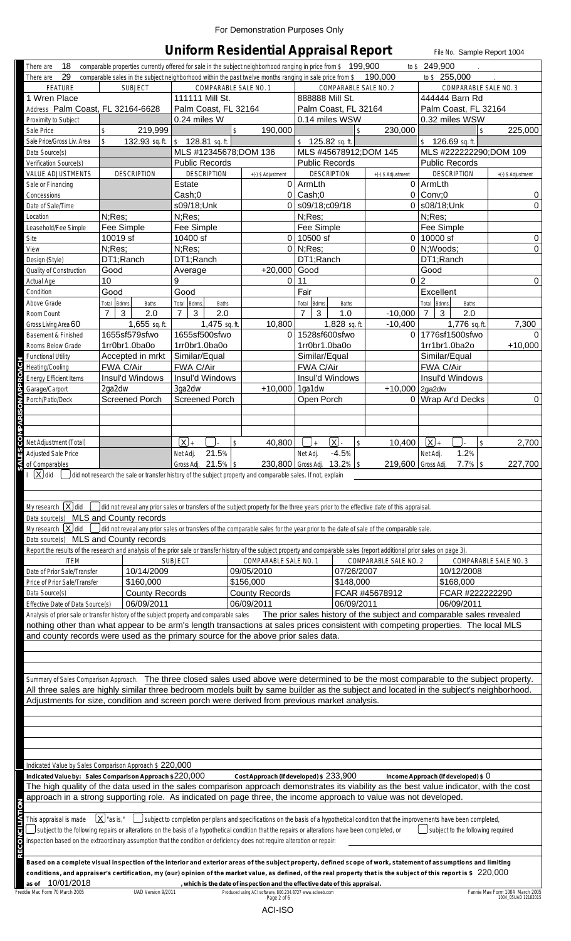### For Demonstration Purposes Only

# **Uniform Residential Appraisal Report**

|                                                                                                                                                                                                                                         |              |                                |                             |                    | <b>Uniform Residential Appraisal Report</b>                                                                                             |                      |        |                                       |                                                                                                                                                                 |                     | File No. Sample Report 1004         |                                                        |
|-----------------------------------------------------------------------------------------------------------------------------------------------------------------------------------------------------------------------------------------|--------------|--------------------------------|-----------------------------|--------------------|-----------------------------------------------------------------------------------------------------------------------------------------|----------------------|--------|---------------------------------------|-----------------------------------------------------------------------------------------------------------------------------------------------------------------|---------------------|-------------------------------------|--------------------------------------------------------|
| 18<br>There are                                                                                                                                                                                                                         |              |                                |                             |                    | comparable properties currently offered for sale in the subject neighborhood ranging in price from \$ 199,900                           |                      |        |                                       |                                                                                                                                                                 | to \$249,900        |                                     |                                                        |
| 29<br>There are                                                                                                                                                                                                                         |              |                                |                             |                    | comparable sales in the subject neighborhood within the past twelve months ranging in sale price from \$                                |                      |        |                                       | 190,000                                                                                                                                                         |                     | to \$255,000                        |                                                        |
| <b>FEATURE</b>                                                                                                                                                                                                                          |              | <b>SUBJECT</b>                 |                             |                    | COMPARABLE SALE NO. 1                                                                                                                   |                      |        | COMPARABLE SALE NO. 2                 |                                                                                                                                                                 |                     | COMPARABLE SALE NO. 3               |                                                        |
| 1 Wren Place                                                                                                                                                                                                                            |              |                                | 111111 Mill St.             |                    |                                                                                                                                         |                      |        | 888888 Mill St.                       |                                                                                                                                                                 |                     | 444444 Barn Rd                      |                                                        |
| Address Palm Coast, FL 32164-6628                                                                                                                                                                                                       |              |                                | Palm Coast, FL 32164        |                    |                                                                                                                                         |                      |        | Palm Coast, FL 32164                  |                                                                                                                                                                 |                     | Palm Coast, FL 32164                |                                                        |
| Proximity to Subject<br>Sale Price                                                                                                                                                                                                      | \$           | 219,999                        | 0.24 miles W                |                    | \$<br>190,000                                                                                                                           |                      |        | 0.14 miles WSW<br>\$                  | 230,000                                                                                                                                                         |                     | 0.32 miles WSW<br>\$                | 225,000                                                |
| Sale Price/Gross Liv. Area                                                                                                                                                                                                              | \$           | 132.93 sq. ft.                 | \$ 128.81 sq. ft.           |                    |                                                                                                                                         |                      |        | \$ 125.82 sq. ft.                     |                                                                                                                                                                 |                     | \$ 126.69 sq. ft.                   |                                                        |
| Data Source(s)                                                                                                                                                                                                                          |              |                                |                             |                    | MLS #12345678;DOM 136                                                                                                                   |                      |        | MLS #45678912;DOM 145                 |                                                                                                                                                                 |                     | MLS #222222290;DOM 109              |                                                        |
| Verification Source(s)                                                                                                                                                                                                                  |              |                                | <b>Public Records</b>       |                    |                                                                                                                                         |                      |        | <b>Public Records</b>                 |                                                                                                                                                                 |                     | <b>Public Records</b>               |                                                        |
| <b>VALUE ADJUSTMENTS</b>                                                                                                                                                                                                                |              | <b>DESCRIPTION</b>             |                             | <b>DESCRIPTION</b> | +(-) \$ Adjustment                                                                                                                      |                      |        | <b>DESCRIPTION</b>                    | +(-) \$ Adjustment                                                                                                                                              |                     | <b>DESCRIPTION</b>                  | +(-) \$ Adjustment                                     |
| Sale or Financing                                                                                                                                                                                                                       |              |                                | Estate                      |                    | 0                                                                                                                                       | ArmLth               |        |                                       | 0                                                                                                                                                               | ArmLth              |                                     |                                                        |
| Concessions                                                                                                                                                                                                                             |              |                                | Cash;0                      |                    |                                                                                                                                         | $0$ Cash; 0          |        |                                       |                                                                                                                                                                 | $0$ Conv; 0         |                                     | 0                                                      |
| Date of Sale/Time                                                                                                                                                                                                                       |              |                                | s09/18;Unk                  |                    |                                                                                                                                         | $0$   s09/18; c09/18 |        |                                       | 0                                                                                                                                                               | s08/18;Unk          |                                     | 0                                                      |
| Location                                                                                                                                                                                                                                | N;Res;       |                                | N;Res;                      |                    |                                                                                                                                         | N;Res;               |        |                                       |                                                                                                                                                                 | N;Res;              |                                     |                                                        |
| Leasehold/Fee Simple                                                                                                                                                                                                                    |              | Fee Simple                     | Fee Simple                  |                    |                                                                                                                                         | Fee Simple           |        |                                       |                                                                                                                                                                 | Fee Simple          |                                     |                                                        |
| Site                                                                                                                                                                                                                                    | 10019 sf     |                                | 10400 sf                    |                    |                                                                                                                                         | $0 10500$ sf         |        |                                       |                                                                                                                                                                 | $0 10000$ sf        |                                     | $\mathbf 0$                                            |
| View                                                                                                                                                                                                                                    | N;Res;       |                                | N;Res;                      |                    |                                                                                                                                         | $0 N;$ Res;          |        |                                       |                                                                                                                                                                 | $0 N;$ Woods;       |                                     | 0                                                      |
| Design (Style)                                                                                                                                                                                                                          |              | DT1;Ranch                      | DT1;Ranch                   |                    |                                                                                                                                         | DT1;Ranch            |        |                                       |                                                                                                                                                                 | DT1;Ranch           |                                     |                                                        |
| Quality of Construction                                                                                                                                                                                                                 | Good         |                                | Average                     |                    | +20,000 Good                                                                                                                            |                      |        |                                       |                                                                                                                                                                 | Good                |                                     |                                                        |
| Actual Age                                                                                                                                                                                                                              | 10           |                                | 9                           |                    | 0                                                                                                                                       | 11                   |        |                                       | 0                                                                                                                                                               | $\overline{2}$      |                                     | $\mathbf 0$                                            |
| Condition                                                                                                                                                                                                                               | Good         |                                | Good                        |                    |                                                                                                                                         | Fair                 |        |                                       |                                                                                                                                                                 | Excellent           |                                     |                                                        |
| Above Grade                                                                                                                                                                                                                             | Total Bdrms. | Baths                          | Bdrms.<br>Total             | Baths              |                                                                                                                                         | Total                | Bdrms. | Baths                                 |                                                                                                                                                                 | Total Bdrms.        | <b>Baths</b>                        |                                                        |
| Room Count                                                                                                                                                                                                                              | 7            | 3<br>2.0                       | $\overline{7}$<br>3         | 2.0                |                                                                                                                                         | $\overline{7}$       | 3      | 1.0                                   | $-10,000$                                                                                                                                                       | 3<br>$\overline{7}$ | 2.0                                 |                                                        |
| Gross Living Area 60                                                                                                                                                                                                                    |              | 1,655 sq. ft.<br>1655sf579sfwo | 1655sf500sfwo               | 1,475 sq. ft.      | 10,800<br>0                                                                                                                             |                      |        | 1,828 sq. ft.<br>1528sf600sfwo        | $-10,400$<br>0                                                                                                                                                  |                     | 1,776 sq. ft.<br>1776sf1500sfwo     | 7,300                                                  |
| Basement & Finished                                                                                                                                                                                                                     |              | 1rr0br1.0ba0o                  | 1rr0br1.0ba0o               |                    |                                                                                                                                         |                      |        | 1rr0br1.0ba0o                         |                                                                                                                                                                 |                     | 1rr1br1.0ba2o                       | $+10,000$                                              |
| Rooms Below Grade<br><b>Functional Utility</b>                                                                                                                                                                                          |              | Accepted in mrkt               | Similar/Equal               |                    |                                                                                                                                         | Similar/Equal        |        |                                       |                                                                                                                                                                 |                     | Similar/Equal                       |                                                        |
| Heating/Cooling                                                                                                                                                                                                                         | FWA C/Air    |                                | FWA C/Air                   |                    |                                                                                                                                         | FWA C/Air            |        |                                       |                                                                                                                                                                 | FWA C/Air           |                                     |                                                        |
| <b>ROACI</b><br><b>Energy Efficient Items</b>                                                                                                                                                                                           |              | Insul'd Windows                | Insul'd Windows             |                    |                                                                                                                                         |                      |        | Insul'd Windows                       |                                                                                                                                                                 |                     | Insul'd Windows                     |                                                        |
| $\frac{\mathsf{a}}{\mathsf{b}}$<br>Garage/Carport                                                                                                                                                                                       | 2ga2dw       |                                | 3ga2dw                      |                    | +10,000 $\sqrt{1}$ 1ga1dw                                                                                                               |                      |        |                                       | +10,000 2ga2dw                                                                                                                                                  |                     |                                     |                                                        |
| Porch/Patio/Deck                                                                                                                                                                                                                        |              | <b>Screened Porch</b>          | <b>Screened Porch</b>       |                    |                                                                                                                                         | Open Porch           |        |                                       | 0                                                                                                                                                               |                     | Wrap Ar'd Decks                     | $\Omega$                                               |
| PARISON                                                                                                                                                                                                                                 |              |                                |                             |                    |                                                                                                                                         |                      |        |                                       |                                                                                                                                                                 |                     |                                     |                                                        |
|                                                                                                                                                                                                                                         |              |                                |                             |                    |                                                                                                                                         |                      |        |                                       |                                                                                                                                                                 |                     |                                     |                                                        |
|                                                                                                                                                                                                                                         |              |                                |                             |                    |                                                                                                                                         |                      |        |                                       |                                                                                                                                                                 |                     |                                     |                                                        |
| COMI<br>Net Adjustment (Total)                                                                                                                                                                                                          |              |                                | $(\overline{\mathsf{x}})_+$ |                    | \$<br>40,800                                                                                                                            | $\ddot{+}$           |        | $\boxed{\mathsf{X}}$<br>$\mathsf{\$}$ | 10,400                                                                                                                                                          | $(\overline{X})_+$  | \$                                  | 2,700                                                  |
| $\overline{5}$<br>Adjusted Sale Price                                                                                                                                                                                                   |              |                                | Net Adj.                    | 21.5%              |                                                                                                                                         | Net Adj.             |        | $-4.5%$                               |                                                                                                                                                                 | Net Adj.            | 1.2%                                |                                                        |
| of Comparables<br>S                                                                                                                                                                                                                     |              |                                | Gross Adj. $21.5\%$ \$      |                    | 230,800 Gross Adj. 13.2% \$                                                                                                             |                      |        |                                       | 219,600 Gross Adj.                                                                                                                                              |                     | $7.7\%$ \$                          | 227,700                                                |
| $\left  \right $ $\left  \right $ $\left  \right $ $\left  \right $ did                                                                                                                                                                 |              |                                |                             |                    | did not research the sale or transfer history of the subject property and comparable sales. If not, explain                             |                      |        |                                       |                                                                                                                                                                 |                     |                                     |                                                        |
|                                                                                                                                                                                                                                         |              |                                |                             |                    |                                                                                                                                         |                      |        |                                       |                                                                                                                                                                 |                     |                                     |                                                        |
|                                                                                                                                                                                                                                         |              |                                |                             |                    |                                                                                                                                         |                      |        |                                       |                                                                                                                                                                 |                     |                                     |                                                        |
| My research $[\times]$ did $[\square]$ did not reveal any prior sales or transfers of the subject property for the three years prior to the effective date of this appraisal.<br>Data source(s) MLS and County records                  |              |                                |                             |                    |                                                                                                                                         |                      |        |                                       |                                                                                                                                                                 |                     |                                     |                                                        |
| My research $\lfloor x \rfloor$ did $\lfloor x \rfloor$ did not reveal any prior sales or transfers of the comparable sales for the year prior to the date of sale of the comparable sale.                                              |              |                                |                             |                    |                                                                                                                                         |                      |        |                                       |                                                                                                                                                                 |                     |                                     |                                                        |
| Data source(s) MLS and County records                                                                                                                                                                                                   |              |                                |                             |                    |                                                                                                                                         |                      |        |                                       |                                                                                                                                                                 |                     |                                     |                                                        |
| Report the results of the research and analysis of the prior sale or transfer history of the subject property and comparable sales (report additional prior sales on page 3).                                                           |              |                                |                             |                    |                                                                                                                                         |                      |        |                                       |                                                                                                                                                                 |                     |                                     |                                                        |
| <b>ITEM</b>                                                                                                                                                                                                                             |              |                                | <b>SUBJECT</b>              |                    | COMPARABLE SALE NO. 1                                                                                                                   |                      |        |                                       | COMPARABLE SALE NO. 2                                                                                                                                           |                     |                                     | COMPARABLE SALE NO. 3                                  |
| Date of Prior Sale/Transfer                                                                                                                                                                                                             |              | 10/14/2009                     |                             |                    | 09/05/2010                                                                                                                              |                      |        | 07/26/2007                            |                                                                                                                                                                 |                     | 10/12/2008                          |                                                        |
| Price of Prior Sale/Transfer                                                                                                                                                                                                            |              | \$160,000                      |                             |                    | \$156,000                                                                                                                               |                      |        | \$148,000                             |                                                                                                                                                                 |                     | \$168,000                           |                                                        |
| Data Source(s)                                                                                                                                                                                                                          |              | <b>County Records</b>          |                             |                    | <b>County Records</b>                                                                                                                   |                      |        |                                       | FCAR #45678912                                                                                                                                                  |                     | FCAR #222222290                     |                                                        |
| Effective Date of Data Source(s)                                                                                                                                                                                                        |              | 06/09/2011                     |                             |                    | 06/09/2011                                                                                                                              |                      |        | 06/09/2011                            |                                                                                                                                                                 |                     | 06/09/2011                          |                                                        |
| Analysis of prior sale or transfer history of the subject property and comparable sales                                                                                                                                                 |              |                                |                             |                    |                                                                                                                                         |                      |        |                                       | The prior sales history of the subject and comparable sales revealed                                                                                            |                     |                                     |                                                        |
| nothing other than what appear to be arm's length transactions at sales prices consistent with competing properties. The local MLS                                                                                                      |              |                                |                             |                    |                                                                                                                                         |                      |        |                                       |                                                                                                                                                                 |                     |                                     |                                                        |
| and county records were used as the primary source for the above prior sales data.                                                                                                                                                      |              |                                |                             |                    |                                                                                                                                         |                      |        |                                       |                                                                                                                                                                 |                     |                                     |                                                        |
|                                                                                                                                                                                                                                         |              |                                |                             |                    |                                                                                                                                         |                      |        |                                       |                                                                                                                                                                 |                     |                                     |                                                        |
|                                                                                                                                                                                                                                         |              |                                |                             |                    |                                                                                                                                         |                      |        |                                       |                                                                                                                                                                 |                     |                                     |                                                        |
|                                                                                                                                                                                                                                         |              |                                |                             |                    |                                                                                                                                         |                      |        |                                       |                                                                                                                                                                 |                     |                                     |                                                        |
| Summary of Sales Comparison Approach. The three closed sales used above were determined to be the most comparable to the subject property.                                                                                              |              |                                |                             |                    |                                                                                                                                         |                      |        |                                       |                                                                                                                                                                 |                     |                                     |                                                        |
| All three sales are highly similar three bedroom models built by same builder as the subject and located in the subject's neighborhood.<br>Adjustments for size, condition and screen porch were derived from previous market analysis. |              |                                |                             |                    |                                                                                                                                         |                      |        |                                       |                                                                                                                                                                 |                     |                                     |                                                        |
|                                                                                                                                                                                                                                         |              |                                |                             |                    |                                                                                                                                         |                      |        |                                       |                                                                                                                                                                 |                     |                                     |                                                        |
|                                                                                                                                                                                                                                         |              |                                |                             |                    |                                                                                                                                         |                      |        |                                       |                                                                                                                                                                 |                     |                                     |                                                        |
|                                                                                                                                                                                                                                         |              |                                |                             |                    |                                                                                                                                         |                      |        |                                       |                                                                                                                                                                 |                     |                                     |                                                        |
|                                                                                                                                                                                                                                         |              |                                |                             |                    |                                                                                                                                         |                      |        |                                       |                                                                                                                                                                 |                     |                                     |                                                        |
|                                                                                                                                                                                                                                         |              |                                |                             |                    |                                                                                                                                         |                      |        |                                       |                                                                                                                                                                 |                     |                                     |                                                        |
| Indicated Value by Sales Comparison Approach \$220,000                                                                                                                                                                                  |              |                                |                             |                    |                                                                                                                                         |                      |        |                                       |                                                                                                                                                                 |                     |                                     |                                                        |
| Indicated Value by: Sales Comparison Approach \$220,000                                                                                                                                                                                 |              |                                |                             |                    | Cost Approach (if developed) \$233,900                                                                                                  |                      |        |                                       |                                                                                                                                                                 |                     | Income Approach (if developed) $$0$ |                                                        |
| The high quality of the data used in the sales comparison approach demonstrates its viability as the best value indicator, with the cost                                                                                                |              |                                |                             |                    |                                                                                                                                         |                      |        |                                       |                                                                                                                                                                 |                     |                                     |                                                        |
| approach in a strong supporting role. As indicated on page three, the income approach to value was not developed.                                                                                                                       |              |                                |                             |                    |                                                                                                                                         |                      |        |                                       |                                                                                                                                                                 |                     |                                     |                                                        |
| <b>IATION</b>                                                                                                                                                                                                                           |              |                                |                             |                    |                                                                                                                                         |                      |        |                                       |                                                                                                                                                                 |                     |                                     |                                                        |
| This appraisal is made                                                                                                                                                                                                                  |              |                                |                             |                    |                                                                                                                                         |                      |        |                                       | $[\chi]$ "as is," $\Box$ subject to completion per plans and specifications on the basis of a hypothetical condition that the improvements have been completed, |                     |                                     |                                                        |
| subject to the following repairs or alterations on the basis of a hypothetical condition that the repairs or alterations have been completed, or                                                                                        |              |                                |                             |                    |                                                                                                                                         |                      |        |                                       |                                                                                                                                                                 |                     | subject to the following required   |                                                        |
| RECONCIL<br>inspection based on the extraordinary assumption that the condition or deficiency does not require alteration or repair:                                                                                                    |              |                                |                             |                    |                                                                                                                                         |                      |        |                                       |                                                                                                                                                                 |                     |                                     |                                                        |
|                                                                                                                                                                                                                                         |              |                                |                             |                    |                                                                                                                                         |                      |        |                                       |                                                                                                                                                                 |                     |                                     |                                                        |
| Based on a complete visual inspection of the interior and exterior areas of the subject property, defined scope of work, statement of assumptions and limiting                                                                          |              |                                |                             |                    |                                                                                                                                         |                      |        |                                       |                                                                                                                                                                 |                     |                                     |                                                        |
| conditions, and appraiser's certification, my (our) opinion of the market value, as defined, of the real property that is the subject of this report is \$ 220,000                                                                      |              |                                |                             |                    |                                                                                                                                         |                      |        |                                       |                                                                                                                                                                 |                     |                                     |                                                        |
| as of 10/01/2018<br>Freddie Mac Form 70 March 2005                                                                                                                                                                                      |              | UAD Version 9/2011             |                             |                    | , which is the date of inspection and the effective date of this appraisal.<br>Produced using ACI software, 800.234.8727 www.aciweb.com |                      |        |                                       |                                                                                                                                                                 |                     |                                     | Fannie Mae Form 1004 March 2005<br>1004_05UAD 12182015 |
|                                                                                                                                                                                                                                         |              |                                |                             |                    | Page 2 of 6                                                                                                                             |                      |        |                                       |                                                                                                                                                                 |                     |                                     |                                                        |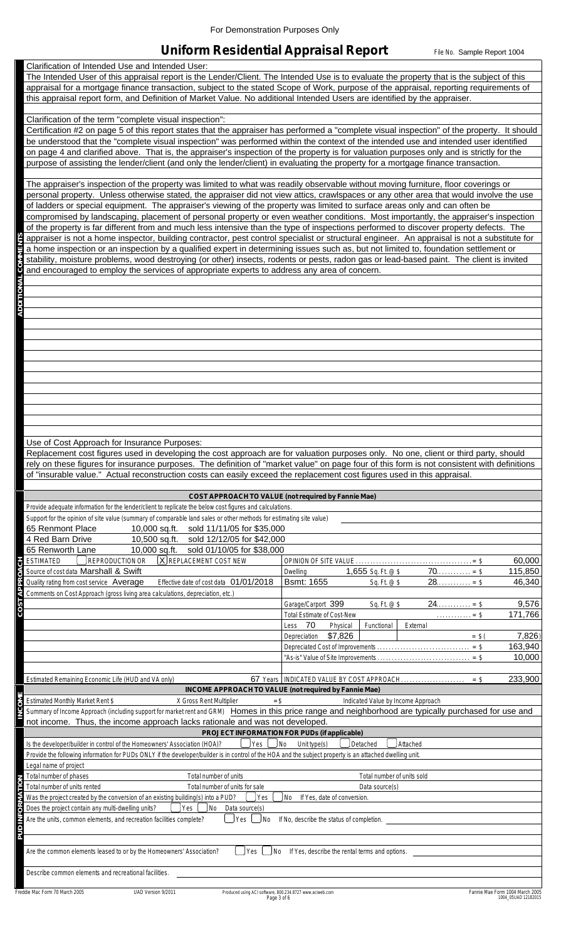File No. Sample Report 1004

Clarification of Intended Use and Intended User: The Intended User of this appraisal report is the Lender/Client. The Intended Use is to evaluate the property that is the subject of this appraisal for a mortgage finance transaction, subject to the stated Scope of Work, purpose of the appraisal, reporting requirements of this appraisal report form, and Definition of Market Value. No additional Intended Users are identified by the appraiser.

#### Clarification of the term "complete visual inspection":

Certification #2 on page 5 of this report states that the appraiser has performed a "complete visual inspection" of the property. It should be understood that the "complete visual inspection" was performed within the context of the intended use and intended user identified on page 4 and clarified above. That is, the appraiser's inspection of the property is for valuation purposes only and is strictly for the purpose of assisting the lender/client (and only the lender/client) in evaluating the property for a mortgage finance transaction.

**ADDITIONAL CO** stability, moisture problems, wood destroying (or other) insects, rodents or pests, radon gas or lead-based paint. The client is invited **MENTS** The appraiser's inspection of the property was limited to what was readily observable without moving furniture, floor coverings or personal property. Unless otherwise stated, the appraiser did not view attics, crawlspaces or any other area that would involve the use of ladders or special equipment. The appraiser's viewing of the property was limited to surface areas only and can often be compromised by landscaping, placement of personal property or even weather conditions. Most importantly, the appraiser's inspection of the property is far different from and much less intensive than the type of inspections performed to discover property defects. The appraiser is not a home inspector, building contractor, pest control specialist or structural engineer. An appraisal is not a substitute for a home inspection or an inspection by a qualified expert in determining issues such as, but not limited to, foundation settlement or and encouraged to employ the services of appropriate experts to address any area of concern.

#### Use of Cost Approach for Insurance Purposes:

**M**

Replacement cost figures used in developing the cost approach are for valuation purposes only. No one, client or third party, should rely on these figures for insurance purposes. The definition of "market value" on page four of this form is not consistent with definitions of "insurable value." Actual reconstruction costs can easily exceed the replacement cost figures used in this appraisal.

|                                                                                                                                                          | COST APPROACH TO VALUE (not required by Fannie Mae)                     |         |
|----------------------------------------------------------------------------------------------------------------------------------------------------------|-------------------------------------------------------------------------|---------|
| Provide adequate information for the lender/client to replicate the below cost figures and calculations.                                                 |                                                                         |         |
| Support for the opinion of site value (summary of comparable land sales or other methods for estimating site value)                                      |                                                                         |         |
| 65 Renmont Place<br>10,000 sq.ft. sold 11/11/05 for \$35,000                                                                                             |                                                                         |         |
| 10,500 sq.ft. sold 12/12/05 for \$42,000<br>4 Red Barn Drive                                                                                             |                                                                         |         |
| 10,000 sq.ft. sold 01/10/05 for \$38,000<br>65 Renworth Lane                                                                                             |                                                                         |         |
| REPRODUCTION OR<br>$[\overline{X}]$ REPLACEMENT COST NEW<br><b>ESTIMATED</b>                                                                             |                                                                         | 60,000  |
| Source of cost data Marshall & Swift                                                                                                                     | 1,655 Sq. Ft. @\$<br>Dwelling<br>$70.$ = \$                             | 115,850 |
| Quality rating from cost service Average<br>Effective date of cost data 01/01/2018                                                                       | Bsmt: 1655<br>$28 =$<br>Sq. Ft. $@$ \$                                  | 46,340  |
| Comments on Cost Approach (gross living area calculations, depreciation, etc.)                                                                           |                                                                         |         |
|                                                                                                                                                          | Garage/Carport 399<br>$24$ $\ldots$ $\ldots$ = \$<br>Sq. Ft. @\$        | 9,576   |
|                                                                                                                                                          | <b>Total Estimate of Cost-New</b><br>$\ldots \ldots \ldots \ldots =$ \$ | 171.766 |
|                                                                                                                                                          | Less 70<br>Functional<br>Physical<br>External                           |         |
|                                                                                                                                                          | \$7,826<br>Depreciation<br>$=$ \$ (                                     | 7,826)  |
|                                                                                                                                                          |                                                                         | 163,940 |
|                                                                                                                                                          |                                                                         | 10.000  |
|                                                                                                                                                          |                                                                         |         |
| Estimated Remaining Economic Life (HUD and VA only)                                                                                                      | 67 Years   INDICATED VALUE BY COST APPROACH<br>$=$ \$                   | 233,900 |
|                                                                                                                                                          | INCOME APPROACH TO VALUE (not required by Fannie Mae)                   |         |
| <b>Estimated Monthly Market Rent \$</b><br>X Gross Rent Multiplier<br>$=$ \$                                                                             | Indicated Value by Income Approach                                      |         |
| Summary of Income Approach (including support for market rent and GRM) Homes in this price range and neighborhood are typically purchased for use and    |                                                                         |         |
| not income. Thus, the income approach lacks rationale and was not developed.                                                                             |                                                                         |         |
|                                                                                                                                                          | PROJECT INFORMATION FOR PUDs (if applicable)                            |         |
| Is the developer/builder in control of the Homeowners' Association (HOA)?<br>Yes                                                                         | No<br>Detached<br>Attached<br>Unit type(s)                              |         |
| Provide the following information for PUDs ONLY if the developer/builder is in control of the HOA and the subject property is an attached dwelling unit. |                                                                         |         |
| Legal name of project                                                                                                                                    |                                                                         |         |
| Total number of phases<br>Total number of units                                                                                                          | Total number of units sold                                              |         |
| Total number of units rented<br>Total number of units for sale                                                                                           | Data source(s)                                                          |         |
| Was the project created by the conversion of an existing building(s) into a PUD?<br> Yes                                                                 | l No<br>If Yes, date of conversion.                                     |         |
| ) Yes<br>Does the project contain any multi-dwelling units?<br>No Data source(s)                                                                         |                                                                         |         |
| Are the units, common elements, and recreation facilities complete?<br><b>Yes</b><br>l No                                                                | If No, describe the status of completion.                               |         |
|                                                                                                                                                          |                                                                         |         |
| <b>Yes</b>                                                                                                                                               |                                                                         |         |
| Are the common elements leased to or by the Homeowners' Association?<br>l No                                                                             | If Yes, describe the rental terms and options.                          |         |
| Describe common elements and recreational facilities.                                                                                                    |                                                                         |         |
|                                                                                                                                                          |                                                                         |         |
| Produced using ACI software, 800.234.8727 www.aciweb.com<br>Freddie Mac Form 70 March 2005<br>UAD Version 9/2011                                         | Fannie Mae Form 1004 March 2005                                         |         |
| Page 3 of 6                                                                                                                                              | 1004 05UAD 12182019                                                     |         |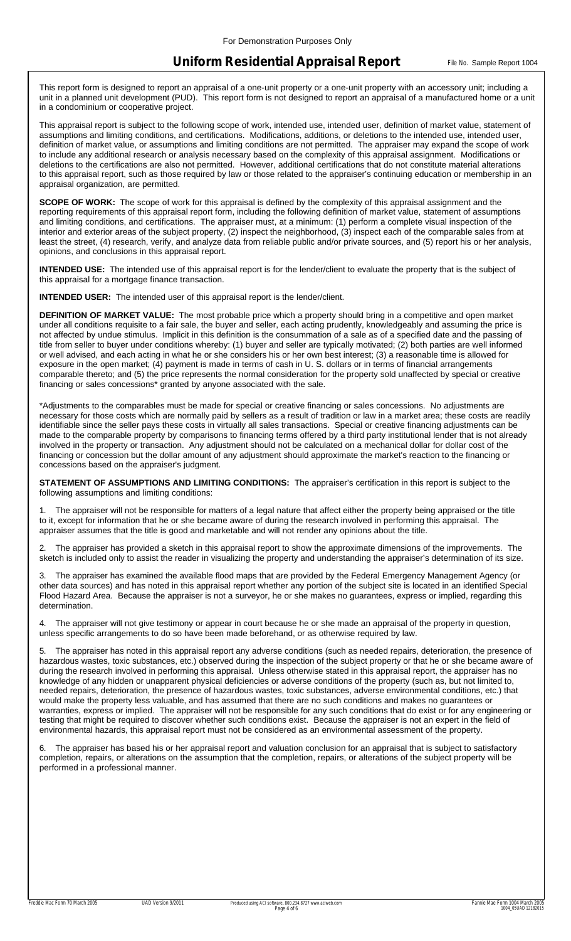This report form is designed to report an appraisal of a one-unit property or a one-unit property with an accessory unit; including a unit in a planned unit development (PUD). This report form is not designed to report an appraisal of a manufactured home or a unit in a condominium or cooperative project.

This appraisal report is subject to the following scope of work, intended use, intended user, definition of market value, statement of assumptions and limiting conditions, and certifications. Modifications, additions, or deletions to the intended use, intended user, definition of market value, or assumptions and limiting conditions are not permitted. The appraiser may expand the scope of work to include any additional research or analysis necessary based on the complexity of this appraisal assignment. Modifications or deletions to the certifications are also not permitted. However, additional certifications that do not constitute material alterations to this appraisal report, such as those required by law or those related to the appraiser's continuing education or membership in an appraisal organization, are permitted.

**SCOPE OF WORK:** The scope of work for this appraisal is defined by the complexity of this appraisal assignment and the reporting requirements of this appraisal report form, including the following definition of market value, statement of assumptions and limiting conditions, and certifications. The appraiser must, at a minimum: (1) perform a complete visual inspection of the interior and exterior areas of the subject property, (2) inspect the neighborhood, (3) inspect each of the comparable sales from at least the street, (4) research, verify, and analyze data from reliable public and/or private sources, and (5) report his or her analysis, opinions, and conclusions in this appraisal report.

**INTENDED USE:** The intended use of this appraisal report is for the lender/client to evaluate the property that is the subject of this appraisal for a mortgage finance transaction.

**INTENDED USER:** The intended user of this appraisal report is the lender/client.

**DEFINITION OF MARKET VALUE:** The most probable price which a property should bring in a competitive and open market under all conditions requisite to a fair sale, the buyer and seller, each acting prudently, knowledgeably and assuming the price is not affected by undue stimulus. Implicit in this definition is the consummation of a sale as of a specified date and the passing of title from seller to buyer under conditions whereby: (1) buyer and seller are typically motivated; (2) both parties are well informed or well advised, and each acting in what he or she considers his or her own best interest; (3) a reasonable time is allowed for exposure in the open market; (4) payment is made in terms of cash in U. S. dollars or in terms of financial arrangements comparable thereto; and (5) the price represents the normal consideration for the property sold unaffected by special or creative financing or sales concessions\* granted by anyone associated with the sale.

\*Adjustments to the comparables must be made for special or creative financing or sales concessions. No adjustments are necessary for those costs which are normally paid by sellers as a result of tradition or law in a market area; these costs are readily identifiable since the seller pays these costs in virtually all sales transactions. Special or creative financing adjustments can be made to the comparable property by comparisons to financing terms offered by a third party institutional lender that is not already involved in the property or transaction. Any adjustment should not be calculated on a mechanical dollar for dollar cost of the financing or concession but the dollar amount of any adjustment should approximate the market's reaction to the financing or concessions based on the appraiser's judgment.

**STATEMENT OF ASSUMPTIONS AND LIMITING CONDITIONS:** The appraiser's certification in this report is subject to the following assumptions and limiting conditions:

1. The appraiser will not be responsible for matters of a legal nature that affect either the property being appraised or the title to it, except for information that he or she became aware of during the research involved in performing this appraisal. The appraiser assumes that the title is good and marketable and will not render any opinions about the title.

2. The appraiser has provided a sketch in this appraisal report to show the approximate dimensions of the improvements. The sketch is included only to assist the reader in visualizing the property and understanding the appraiser's determination of its size.

The appraiser has examined the available flood maps that are provided by the Federal Emergency Management Agency (or other data sources) and has noted in this appraisal report whether any portion of the subject site is located in an identified Special Flood Hazard Area. Because the appraiser is not a surveyor, he or she makes no guarantees, express or implied, regarding this determination.

4. The appraiser will not give testimony or appear in court because he or she made an appraisal of the property in question, unless specific arrangements to do so have been made beforehand, or as otherwise required by law.

The appraiser has noted in this appraisal report any adverse conditions (such as needed repairs, deterioration, the presence of hazardous wastes, toxic substances, etc.) observed during the inspection of the subject property or that he or she became aware of during the research involved in performing this appraisal. Unless otherwise stated in this appraisal report, the appraiser has no knowledge of any hidden or unapparent physical deficiencies or adverse conditions of the property (such as, but not limited to, needed repairs, deterioration, the presence of hazardous wastes, toxic substances, adverse environmental conditions, etc.) that would make the property less valuable, and has assumed that there are no such conditions and makes no guarantees or warranties, express or implied. The appraiser will not be responsible for any such conditions that do exist or for any engineering or testing that might be required to discover whether such conditions exist. Because the appraiser is not an expert in the field of environmental hazards, this appraisal report must not be considered as an environmental assessment of the property.

6. The appraiser has based his or her appraisal report and valuation conclusion for an appraisal that is subject to satisfactory completion, repairs, or alterations on the assumption that the completion, repairs, or alterations of the subject property will be performed in a professional manner.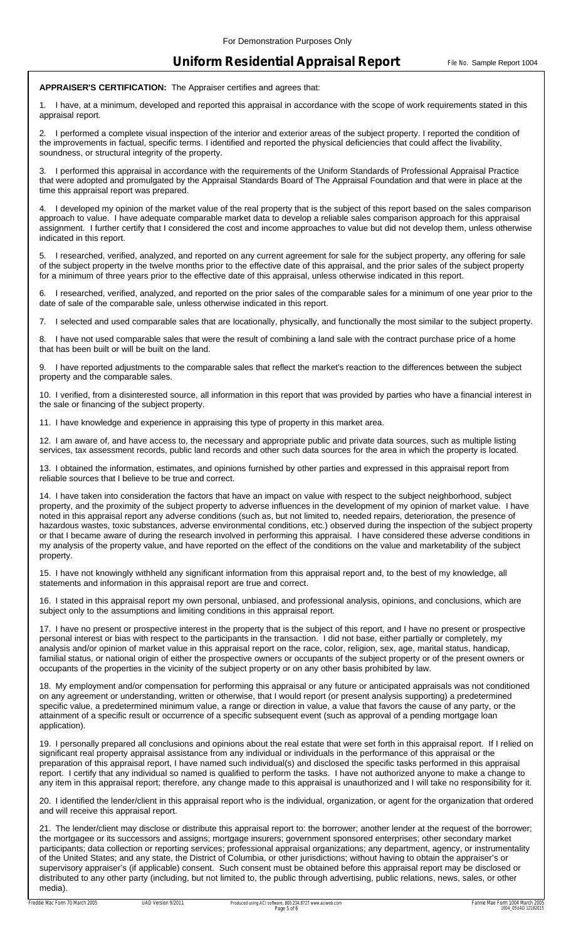#### **APPRAISER'S CERTIFICATION:** The Appraiser certifies and agrees that:

1. I have, at a minimum, developed and reported this appraisal in accordance with the scope of work requirements stated in this appraisal report.

2. I performed a complete visual inspection of the interior and exterior areas of the subject property. I reported the condition of the improvements in factual, specific terms. I identified and reported the physical deficiencies that could affect the livability, soundness, or structural integrity of the property.

3. I performed this appraisal in accordance with the requirements of the Uniform Standards of Professional Appraisal Practice that were adopted and promulgated by the Appraisal Standards Board of The Appraisal Foundation and that were in place at the time this appraisal report was prepared.

I developed my opinion of the market value of the real property that is the subject of this report based on the sales comparison approach to value. I have adequate comparable market data to develop a reliable sales comparison approach for this appraisal assignment. I further certify that I considered the cost and income approaches to value but did not develop them, unless otherwise indicated in this report.

I researched, verified, analyzed, and reported on any current agreement for sale for the subject property, any offering for sale of the subject property in the twelve months prior to the effective date of this appraisal, and the prior sales of the subject property for a minimum of three years prior to the effective date of this appraisal, unless otherwise indicated in this report.

6. I researched, verified, analyzed, and reported on the prior sales of the comparable sales for a minimum of one year prior to the date of sale of the comparable sale, unless otherwise indicated in this report.

7. I selected and used comparable sales that are locationally, physically, and functionally the most similar to the subject property.

8. I have not used comparable sales that were the result of combining a land sale with the contract purchase price of a home that has been built or will be built on the land.

9. I have reported adjustments to the comparable sales that reflect the market's reaction to the differences between the subject property and the comparable sales.

10. I verified, from a disinterested source, all information in this report that was provided by parties who have a financial interest in the sale or financing of the subject property.

11. I have knowledge and experience in appraising this type of property in this market area.

12. I am aware of, and have access to, the necessary and appropriate public and private data sources, such as multiple listing services, tax assessment records, public land records and other such data sources for the area in which the property is located.

13. I obtained the information, estimates, and opinions furnished by other parties and expressed in this appraisal report from reliable sources that I believe to be true and correct.

14. I have taken into consideration the factors that have an impact on value with respect to the subject neighborhood, subject property, and the proximity of the subject property to adverse influences in the development of my opinion of market value. I have noted in this appraisal report any adverse conditions (such as, but not limited to, needed repairs, deterioration, the presence of hazardous wastes, toxic substances, adverse environmental conditions, etc.) observed during the inspection of the subject property or that I became aware of during the research involved in performing this appraisal. I have considered these adverse conditions in my analysis of the property value, and have reported on the effect of the conditions on the value and marketability of the subject property.

15. I have not knowingly withheld any significant information from this appraisal report and, to the best of my knowledge, all statements and information in this appraisal report are true and correct.

16. I stated in this appraisal report my own personal, unbiased, and professional analysis, opinions, and conclusions, which are subject only to the assumptions and limiting conditions in this appraisal report.

17. I have no present or prospective interest in the property that is the subject of this report, and I have no present or prospective personal interest or bias with respect to the participants in the transaction. I did not base, either partially or completely, my analysis and/or opinion of market value in this appraisal report on the race, color, religion, sex, age, marital status, handicap, familial status, or national origin of either the prospective owners or occupants of the subject property or of the present owners or occupants of the properties in the vicinity of the subject property or on any other basis prohibited by law.

18. My employment and/or compensation for performing this appraisal or any future or anticipated appraisals was not conditioned on any agreement or understanding, written or otherwise, that I would report (or present analysis supporting) a predetermined specific value, a predetermined minimum value, a range or direction in value, a value that favors the cause of any party, or the attainment of a specific result or occurrence of a specific subsequent event (such as approval of a pending mortgage loan application).

19. I personally prepared all conclusions and opinions about the real estate that were set forth in this appraisal report. If I relied on significant real property appraisal assistance from any individual or individuals in the performance of this appraisal or the preparation of this appraisal report, I have named such individual(s) and disclosed the specific tasks performed in this appraisal report. I certify that any individual so named is qualified to perform the tasks. I have not authorized anyone to make a change to any item in this appraisal report; therefore, any change made to this appraisal is unauthorized and I will take no responsibility for it.

20. I identified the lender/client in this appraisal report who is the individual, organization, or agent for the organization that ordered and will receive this appraisal report.

21. The lender/client may disclose or distribute this appraisal report to: the borrower; another lender at the request of the borrower; the mortgagee or its successors and assigns; mortgage insurers; government sponsored enterprises; other secondary market participants; data collection or reporting services; professional appraisal organizations; any department, agency, or instrumentality of the United States; and any state, the District of Columbia, or other jurisdictions; without having to obtain the appraiser's or supervisory appraiser's (if applicable) consent. Such consent must be obtained before this appraisal report may be disclosed or distributed to any other party (including, but not limited to, the public through advertising, public relations, news, sales, or other media).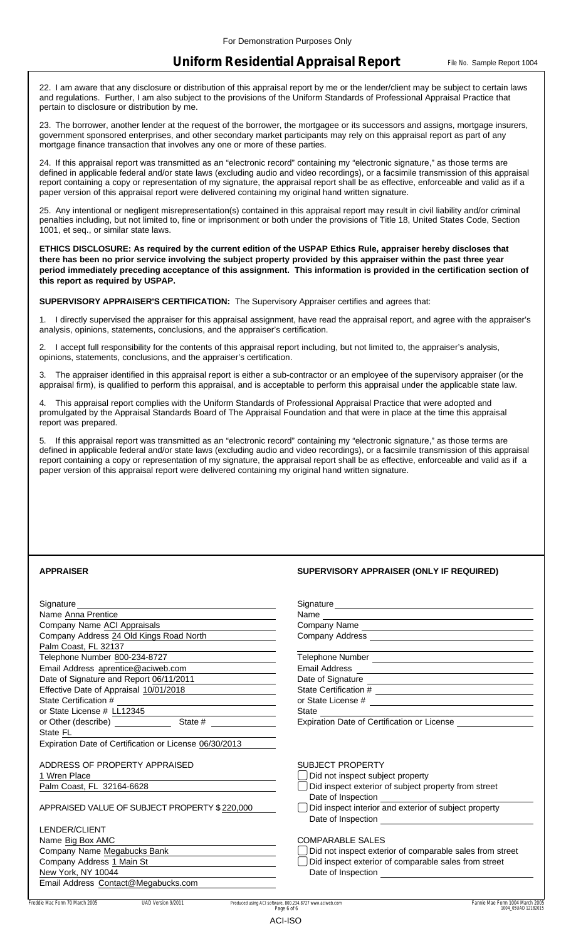22. I am aware that any disclosure or distribution of this appraisal report by me or the lender/client may be subject to certain laws and regulations. Further, I am also subject to the provisions of the Uniform Standards of Professional Appraisal Practice that pertain to disclosure or distribution by me.

23. The borrower, another lender at the request of the borrower, the mortgagee or its successors and assigns, mortgage insurers, government sponsored enterprises, and other secondary market participants may rely on this appraisal report as part of any mortgage finance transaction that involves any one or more of these parties.

24. If this appraisal report was transmitted as an "electronic record" containing my "electronic signature," as those terms are defined in applicable federal and/or state laws (excluding audio and video recordings), or a facsimile transmission of this appraisal report containing a copy or representation of my signature, the appraisal report shall be as effective, enforceable and valid as if a paper version of this appraisal report were delivered containing my original hand written signature.

25. Any intentional or negligent misrepresentation(s) contained in this appraisal report may result in civil liability and/or criminal penalties including, but not limited to, fine or imprisonment or both under the provisions of Title 18, United States Code, Section 1001, et seq., or similar state laws.

**ETHICS DISCLOSURE: As required by the current edition of the USPAP Ethics Rule, appraiser hereby discloses that there has been no prior service involving the subject property provided by this appraiser within the past three year period immediately preceding acceptance of this assignment. This information is provided in the certification section of this report as required by USPAP.**

**SUPERVISORY APPRAISER'S CERTIFICATION:** The Supervisory Appraiser certifies and agrees that:

1. I directly supervised the appraiser for this appraisal assignment, have read the appraisal report, and agree with the appraiser's analysis, opinions, statements, conclusions, and the appraiser's certification.

2. I accept full responsibility for the contents of this appraisal report including, but not limited to, the appraiser's analysis, opinions, statements, conclusions, and the appraiser's certification.

The appraiser identified in this appraisal report is either a sub-contractor or an employee of the supervisory appraiser (or the appraisal firm), is qualified to perform this appraisal, and is acceptable to perform this appraisal under the applicable state law.

4. This appraisal report complies with the Uniform Standards of Professional Appraisal Practice that were adopted and promulgated by the Appraisal Standards Board of The Appraisal Foundation and that were in place at the time this appraisal report was prepared.

5. If this appraisal report was transmitted as an "electronic record" containing my "electronic signature," as those terms are defined in applicable federal and/or state laws (excluding audio and video recordings), or a facsimile transmission of this appraisal report containing a copy or representation of my signature, the appraisal report shall be as effective, enforceable and valid as if a paper version of this appraisal report were delivered containing my original hand written signature.

#### **APPRAISER**

| <b>SUPERVISORY APPRAISER (ONLY IF REQUIRED)</b> |  |  |
|-------------------------------------------------|--|--|
|                                                 |  |  |

| Name Anna Prentice                                                                                      |                                                                                           |
|---------------------------------------------------------------------------------------------------------|-------------------------------------------------------------------------------------------|
| Company Name ACI Appraisals                                                                             |                                                                                           |
| Company Address 24 Old Kings Road North                                                                 |                                                                                           |
| Palm Coast, FL 32137                                                                                    | the control of the control of the control of the control of the control of the control of |
| Telephone Number 800-234-8727                                                                           |                                                                                           |
| Email Address aprentice@aciweb.com                                                                      | Email Address <b>Communication Communication Communication Communication</b>              |
| Date of Signature and Report 06/11/2011                                                                 | Date of Signature <b>Date of Signature</b>                                                |
| Effective Date of Appraisal 10/01/2018                                                                  |                                                                                           |
|                                                                                                         |                                                                                           |
| or State License # LL12345                                                                              |                                                                                           |
|                                                                                                         | Expiration Date of Certification or License                                               |
| State FL                                                                                                |                                                                                           |
| Expiration Date of Certification or License 06/30/2013                                                  |                                                                                           |
| ADDRESS OF PROPERTY APPRAISED                                                                           | <b>SUBJECT PROPERTY</b>                                                                   |
| 1 Wren Place                                                                                            | Did not inspect subject property                                                          |
| Palm Coast, FL 32164-6628                                                                               | Did inspect exterior of subject property from street                                      |
|                                                                                                         |                                                                                           |
| APPRAISED VALUE OF SUBJECT PROPERTY \$220,000                                                           | Did inspect interior and exterior of subject property                                     |
|                                                                                                         |                                                                                           |
| LENDER/CLIENT                                                                                           |                                                                                           |
| Name Big Box AMC                                                                                        | <b>COMPARABLE SALES</b>                                                                   |
| Company Name Megabucks Bank                                                                             | Did not inspect exterior of comparable sales from street                                  |
| Company Address 1 Main St<br>the control of the control of the control of the control of the control of | Did inspect exterior of comparable sales from street                                      |
| New York, NY 10044                                                                                      |                                                                                           |
| Email Address Contact@Megabucks.com                                                                     |                                                                                           |
|                                                                                                         |                                                                                           |

Freddie Mac Form 70 March 2005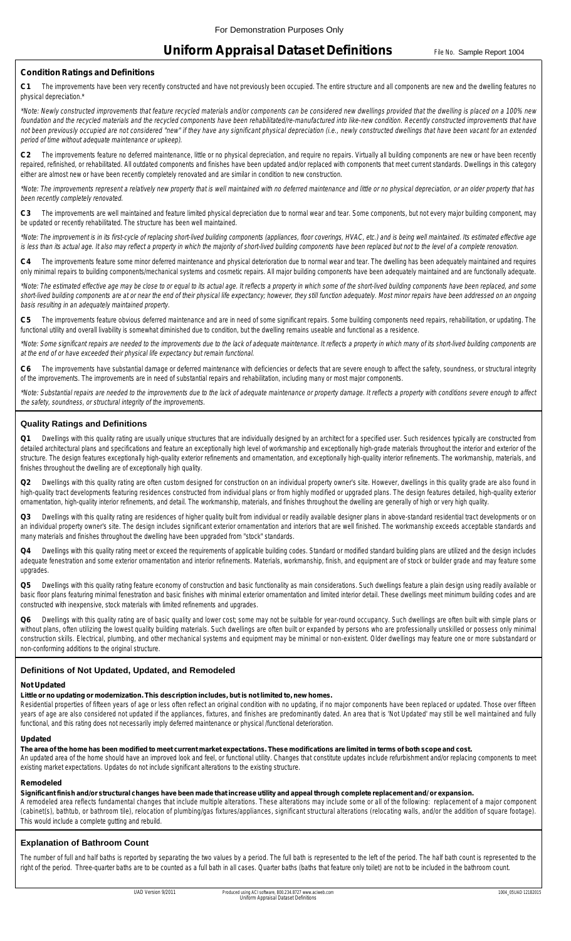### **Uniform Appraisal Dataset Definitions**

#### **Condition Ratings and Definitions**

**C1** The improvements have been very recently constructed and have not previously been occupied. The entire structure and all components are new and the dwelling features no physical depreciation.\*

\*Note: Newly constructed improvements that feature recycled materials and/or components can be considered new dwellings provided that the dwelling is placed on a 100% new foundation and the recycled materials and the recycled components have been rehabilitated/re-manufactured into like-new condition. Recently constructed improvements that have not been previously occupied are not considered "new" if they have any significant physical depreciation (i.e., newly constructed dwellings that have been vacant for an extended period of time without adequate maintenance or upkeep).

**C2** The improvements feature no deferred maintenance, little or no physical depreciation, and require no repairs. Virtually all building components are new or have been recently repaired, refinished, or rehabilitated. All outdated components and finishes have been updated and/or replaced with components that meet current standards. Dwellings in this category either are almost new or have been recently completely renovated and are similar in condition to new construction.

\*Note: The improvements represent a relatively new property that is well maintained with no deferred maintenance and little or no physical depreciation, or an older property that has been recently completely renovated.

**C3** The improvements are well maintained and feature limited physical depreciation due to normal wear and tear. Some components, but not every major building component, may be updated or recently rehabilitated. The structure has been well maintained.

\*Note: The improvement is in its first-cycle of replacing short-lived building components (appliances, floor coverings, HVAC, etc.) and is being well maintained. Its estimated effective age is less than its actual age. It also may reflect a property in which the majority of short-lived building components have been replaced but not to the level of a complete renovation.

**C4** The improvements feature some minor deferred maintenance and physical deterioration due to normal wear and tear. The dwelling has been adequately maintained and requires only minimal repairs to building components/mechanical systems and cosmetic repairs. All major building components have been adequately maintained and are functionally adequate.

\*Note: The estimated effective age may be close to or equal to its actual age. It reflects a property in which some of the short-lived building components have been replaced, and some short-lived building components are at or near the end of their physical life expectancy; however, they still function adequately. Most minor repairs have been addressed on an ongoing basis resulting in an adequately maintained property.

**C5** The improvements feature obvious deferred maintenance and are in need of some significant repairs. Some building components need repairs, rehabilitation, or updating. The functional utility and overall livability is somewhat diminished due to condition, but the dwelling remains useable and functional as a residence.

\*Note: Some significant repairs are needed to the improvements due to the lack of adequate maintenance. It reflects a property in which many of its short-lived building components are at the end of or have exceeded their physical life expectancy but remain functional.

C6 The improvements have substantial damage or deferred maintenance with deficiencies or defects that are severe enough to affect the safety, soundness, or structural integrity of the improvements. The improvements are in need of substantial repairs and rehabilitation, including many or most major components.

\*Note: Substantial repairs are needed to the improvements due to the lack of adequate maintenance or property damage. It reflects a property with conditions severe enough to affect the safety, soundness, or structural integrity of the improvements.

#### **Quality Ratings and Definitions**

**Q1** Dwellings with this quality rating are usually unique structures that are individually designed by an architect for a specified user. Such residences typically are constructed from detailed architectural plans and specifications and feature an exceptionally high level of workmanship and exceptionally high-grade materials throughout the interior and exterior of the structure. The design features exceptionally high-quality exterior refinements and ornamentation, and exceptionally high-quality interior refinements. The workmanship, materials, and finishes throughout the dwelling are of exceptionally high quality.

**Q2** Dwellings with this quality rating are often custom designed for construction on an individual property owner's site. However, dwellings in this quality grade are also found in high-quality tract developments featuring residences constructed from individual plans or from highly modified or upgraded plans. The design features detailed, high-quality exterior ornamentation, high-quality interior refinements, and detail. The workmanship, materials, and finishes throughout the dwelling are generally of high or very high quality.

Q3 Dwellings with this quality rating are residences of higher quality built from individual or readily available designer plans in above-standard residential tract developments or on an individual property owner's site. The design includes significant exterior ornamentation and interiors that are well finished. The workmanship exceeds acceptable standards and many materials and finishes throughout the dwelling have been upgraded from "stock" standards.

**Q4** Dwellings with this quality rating meet or exceed the requirements of applicable building codes. Standard or modified standard building plans are utilized and the design includes adequate fenestration and some exterior ornamentation and interior refinements. Materials, workmanship, finish, and equipment are of stock or builder grade and may feature some upgrades.

**Q5** Dwellings with this quality rating feature economy of construction and basic functionality as main considerations. Such dwellings feature a plain design using readily available or basic floor plans featuring minimal fenestration and basic finishes with minimal exterior ornamentation and limited interior detail. These dwellings meet minimum building codes and are constructed with inexpensive, stock materials with limited refinements and upgrades.

Q6 Dwellings with this quality rating are of basic quality and lower cost; some may not be suitable for year-round occupancy. Such dwellings are often built with simple plans or without plans, often utilizing the lowest quality building materials. Such dwellings are often built or expanded by persons who are professionally unskilled or possess only minimal construction skills. Electrical, plumbing, and other mechanical systems and equipment may be minimal or non-existent. Older dwellings may feature one or more substandard or non-conforming additions to the original structure.

#### **Definitions of Not Updated, Updated, and Remodeled**

#### **Not Updated**

**Little or no updating or modernization. This description includes, but is not limited to, new homes.**

Residential properties of fifteen years of age or less often reflect an original condition with no updating, if no major components have been replaced or updated. Those over fifteen years of age are also considered not updated if the appliances, fixtures, and finishes are predominantly dated. An area that is 'Not Updated' may still be well maintained and fully functional, and this rating does not necessarily imply deferred maintenance or physical /functional deterioration.

#### **Updated**

**The area of the home has been modified to meet current market expectations. These modifications are limited in terms of both scope and cost.**

An updated area of the home should have an improved look and feel, or functional utility. Changes that constitute updates include refurbishment and/or replacing components to meet existing market expectations. Updates do not include significant alterations to the existing structure.

#### **Remodeled**

**Significant finish and/or structural changes have been made that increase utility and appeal through complete replacement and/ or expansion.** A remodeled area reflects fundamental changes that include multiple alterations. These alterations may include some or all of the following: replacement of a major component (cabinet(s), bathtub, or bathroom tile), relocation of plumbing/gas fixtures/appliances, significant structural alterations (relocating walls, and/or the addition of square footage). This would include a complete gutting and rebuild.

#### **Explanation of Bathroom Count**

The number of full and half baths is reported by separating the two values by a period. The full bath is represented to the left of the period. The half bath count is represented to the right of the period. Three-quarter baths are to be counted as a full bath in all cases. Quarter baths (baths that feature only toilet) are not to be included in the bathroom count.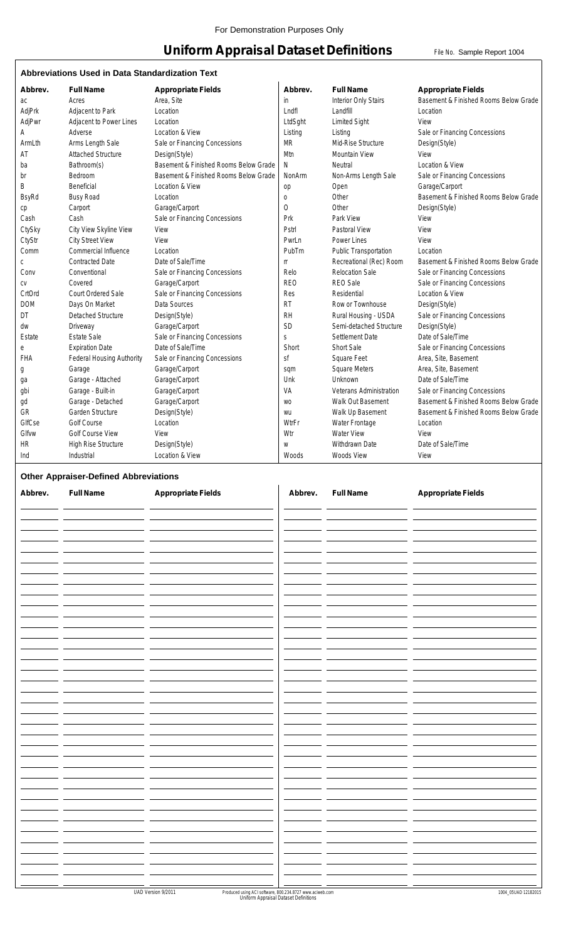# **Uniform Appraisal Dataset Definitions**

File No. Sample Report 1004

|              | Abbreviations Used in Data Standardization Text |                                       |             |                          |                                       |
|--------------|-------------------------------------------------|---------------------------------------|-------------|--------------------------|---------------------------------------|
| Abbrev.      | <b>Full Name</b>                                | <b>Appropriate Fields</b>             | Abbrev.     | <b>Full Name</b>         | <b>Appropriate Fields</b>             |
| ac           | Acres                                           | Area, Site                            | in          | Interior Only Stairs     | Basement & Finished Rooms Below Grade |
| AdjPrk       | Adjacent to Park                                | Location                              | Lndfl       | Landfill                 | Location                              |
| AdjPwr       | Adjacent to Power Lines                         | Location                              | LtdSght     | <b>Limited Sight</b>     | View                                  |
| Α            | Adverse                                         | Location & View                       | Listing     | Listing                  | Sale or Financing Concessions         |
| ArmLth       | Arms Length Sale                                | Sale or Financing Concessions         | <b>MR</b>   | Mid-Rise Structure       | Design(Style)                         |
| AT           | <b>Attached Structure</b>                       | Design(Style)                         | Mtn         | <b>Mountain View</b>     | View                                  |
| ba           | Bathroom(s)                                     | Basement & Finished Rooms Below Grade | N           | Neutral                  | <b>Location &amp; View</b>            |
| br           | Bedroom                                         | Basement & Finished Rooms Below Grade | NonArm      | Non-Arms Length Sale     | Sale or Financing Concessions         |
| B            | Beneficial                                      | Location & View                       | op          | Open                     | Garage/Carport                        |
| <b>BsyRd</b> | <b>Busy Road</b>                                | Location                              | $\mathsf 0$ | Other                    | Basement & Finished Rooms Below Grade |
| cp           | Carport                                         | Garage/Carport                        | $\mathbf 0$ | Other                    | Design(Style)                         |
| Cash         | Cash                                            | Sale or Financing Concessions         | Prk         | Park View                | View                                  |
| CtySky       | City View Skyline View                          | View                                  | Pstrl       | <b>Pastoral View</b>     | View                                  |
| CtyStr       | <b>City Street View</b>                         | View                                  | PwrLn       | <b>Power Lines</b>       | View                                  |
| Comm         | Commercial Influence                            | Location                              | PubTrn      | Public Transportation    | Location                              |
| C            | <b>Contracted Date</b>                          | Date of Sale/Time                     | m           | Recreational (Rec) Room  | Basement & Finished Rooms Below Grade |
| Conv         | Conventional                                    | Sale or Financing Concessions         | Relo        | <b>Relocation Sale</b>   | Sale or Financing Concessions         |
| <b>CV</b>    | Covered                                         | Garage/Carport                        | <b>REO</b>  | <b>REO Sale</b>          | Sale or Financing Concessions         |
| CrtOrd       | Court Ordered Sale                              | Sale or Financing Concessions         | Res         | Residential              | Location & View                       |
| <b>DOM</b>   | Days On Market                                  | Data Sources                          | <b>RT</b>   | Row or Townhouse         | Design(Style)                         |
| DT           | <b>Detached Structure</b>                       | Design(Style)                         | <b>RH</b>   | Rural Housing - USDA     | Sale or Financing Concessions         |
| dw           | Driveway                                        | Garage/Carport                        | <b>SD</b>   | Semi-detached Structure  | Design(Style)                         |
| Estate       | Estate Sale                                     | Sale or Financing Concessions         | S           | Settlement Date          | Date of Sale/Time                     |
| e            | <b>Expiration Date</b>                          | Date of Sale/Time                     | Short       | Short Sale               | Sale or Financing Concessions         |
| <b>FHA</b>   | Federal Housing Authority                       | Sale or Financing Concessions         | Sf          | Square Feet              | Area, Site, Basement                  |
| g            | Garage                                          | Garage/Carport                        | sqm         | <b>Square Meters</b>     | Area, Site, Basement                  |
| ga           | Garage - Attached                               | Garage/Carport                        | Unk         | Unknown                  | Date of Sale/Time                     |
| gbi          | Garage - Built-in                               | Garage/Carport                        | VA          | Veterans Administration  | Sale or Financing Concessions         |
| gd           | Garage - Detached                               | Garage/Carport                        | <b>WO</b>   | <b>Walk Out Basement</b> | Basement & Finished Rooms Below Grade |
| GR           | Garden Structure                                | Design(Style)                         | wu          | Walk Up Basement         | Basement & Finished Rooms Below Grade |
| GIfCse       | <b>Golf Course</b>                              | Location                              | WtrFr       | Water Frontage           | Location                              |
| Glfvw        | <b>Golf Course View</b>                         | View                                  | Wtr         | <b>Water View</b>        | View                                  |
| <b>HR</b>    | <b>High Rise Structure</b>                      | Design(Style)                         | W           | Withdrawn Date           | Date of Sale/Time                     |
| Ind          | Industrial                                      | Location & View                       | Woods       | Woods View               | View                                  |

#### **Other Appraiser-Defined Abbreviations**

| Abbrev. | <b>Full Name</b> | Appropriate Fields | Abbrev. | <b>Full Name</b> | Appropriate Fields |
|---------|------------------|--------------------|---------|------------------|--------------------|
|         |                  |                    |         |                  |                    |
|         |                  |                    |         |                  |                    |
|         |                  |                    |         |                  |                    |
|         |                  |                    |         |                  |                    |
|         |                  |                    |         |                  |                    |
|         |                  |                    |         |                  |                    |
|         |                  |                    |         |                  |                    |
|         |                  |                    |         |                  |                    |
|         |                  |                    |         |                  |                    |
|         |                  |                    |         |                  |                    |
|         |                  |                    |         |                  |                    |
|         |                  |                    |         |                  |                    |
|         |                  |                    |         |                  |                    |
|         |                  |                    |         |                  |                    |
|         |                  |                    |         |                  |                    |
|         |                  |                    |         |                  |                    |
|         |                  |                    |         |                  |                    |
|         |                  |                    |         |                  |                    |
|         |                  |                    |         |                  |                    |
|         |                  |                    |         |                  |                    |
|         |                  |                    |         |                  |                    |
|         |                  |                    |         |                  |                    |
|         |                  |                    |         |                  |                    |
|         |                  |                    |         |                  |                    |
|         |                  |                    |         |                  |                    |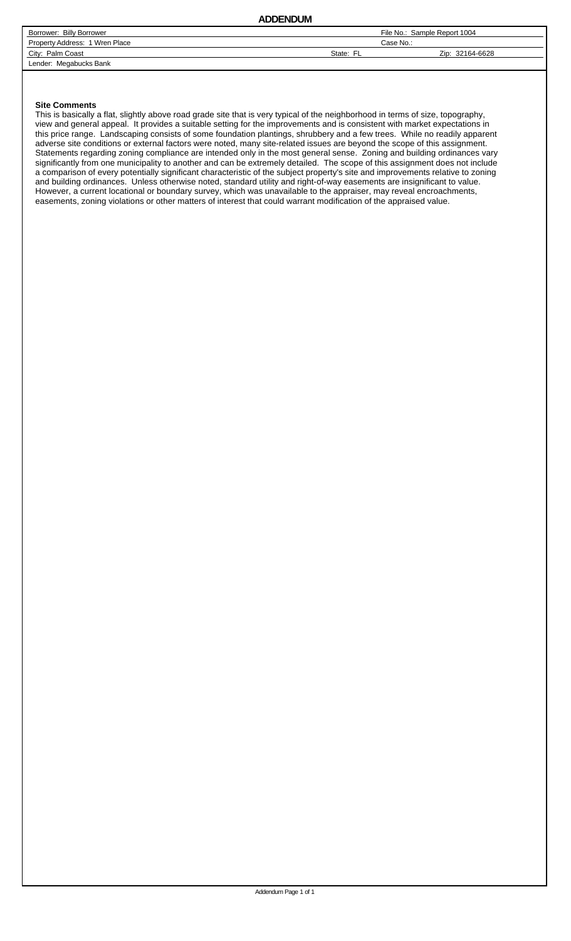|                                | <b>ADDENDUM</b> |                              |
|--------------------------------|-----------------|------------------------------|
| Borrower: Billy Borrower       |                 | File No.: Sample Report 1004 |
| Property Address: 1 Wren Place | Case No.:       |                              |
| City: Palm Coast               | State: FL       | Zip: 32164-6628              |
| Lender: Megabucks Bank         |                 |                              |

#### **Site Comments**

This is basically a flat, slightly above road grade site that is very typical of the neighborhood in terms of size, topography, view and general appeal. It provides a suitable setting for the improvements and is consistent with market expectations in this price range. Landscaping consists of some foundation plantings, shrubbery and a few trees. While no readily apparent adverse site conditions or external factors were noted, many site-related issues are beyond the scope of this assignment. Statements regarding zoning compliance are intended only in the most general sense. Zoning and building ordinances vary significantly from one municipality to another and can be extremely detailed. The scope of this assignment does not include a comparison of every potentially significant characteristic of the subject property's site and improvements relative to zoning and building ordinances. Unless otherwise noted, standard utility and right-of-way easements are insignificant to value. However, a current locational or boundary survey, which was unavailable to the appraiser, may reveal encroachments, easements, zoning violations or other matters of interest that could warrant modification of the appraised value.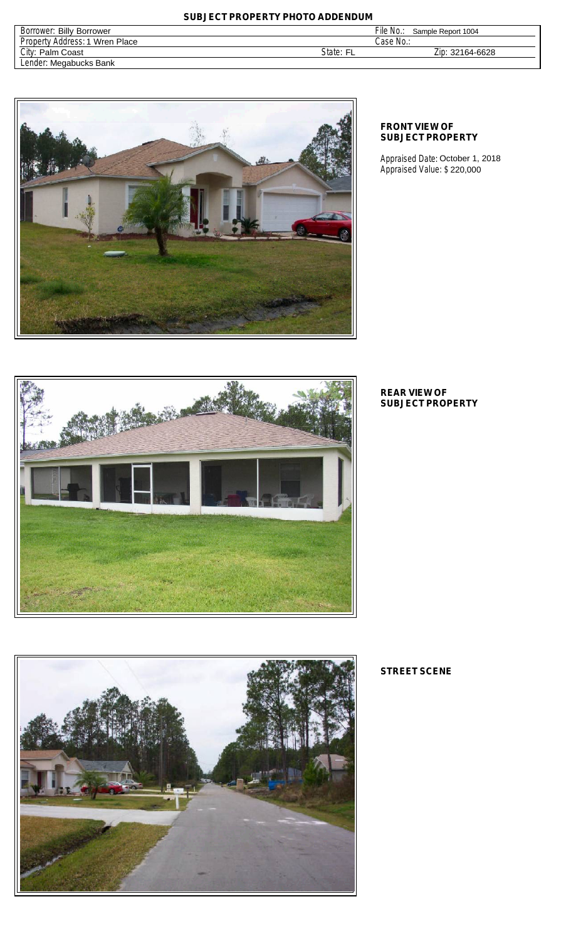### **SUBJECT PROPERTY PHOTO ADDENDUM**

| Borrower: Billy Borrower       | File No  | Sample Report 1004 |
|--------------------------------|----------|--------------------|
| Property Address: 1 Wren Place | Case No∴ |                    |
| City: Palm Coast               | State:   | Zip:<br>32164-6628 |
| Lender: Megabucks Bank         |          |                    |



#### **FRONT VIEW OF SUBJECT PROPERTY**

Appraised Date: Appraised Value: \$ 220,000 October 1, 2018



#### **REAR VIEW OF SUBJECT PROPERTY**



### **STREET SCENE**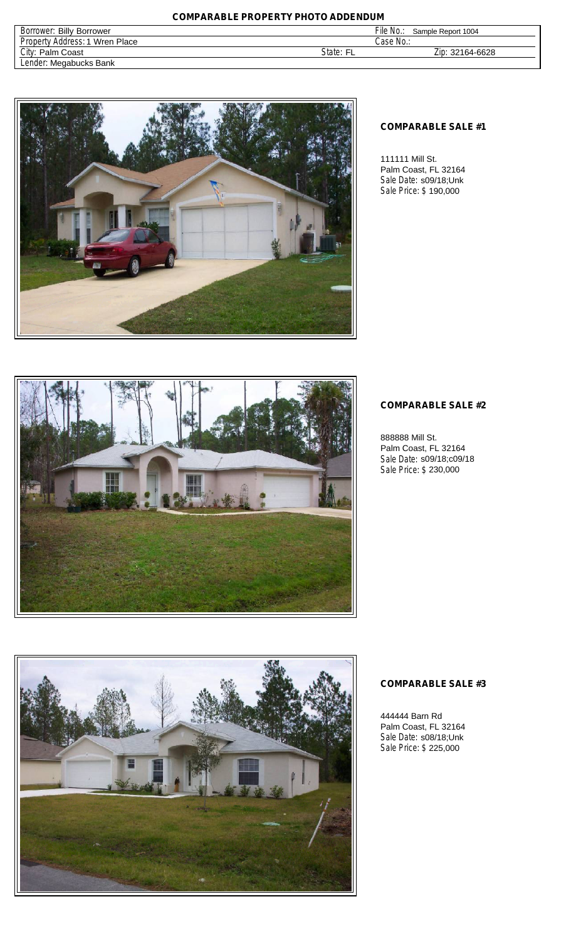### **COMPARABLE PROPERTY PHOTO ADDENDUM**

| Borrower: Billy Borrower       | $File No$ .  | Sample Report 1004    |
|--------------------------------|--------------|-----------------------|
| Property Address: 1 Wren Place | Case No∴     |                       |
| City: Palm Coast               | <b>State</b> | $7$ ip:<br>32164-6628 |
| Lender: Megabucks Bank         |              |                       |

### **COMPARABLE SALE #1**

Sale Date: s09/18;Unk Sale Price: \$ 190,000 Palm Coast, FL 32164 111111 Mill St.



### **COMPARABLE SALE #2**

Sale Date: Sale Price: \$ 230,000 s09/18;c09/18 Palm Coast, FL 32164 888888 Mill St.



### **COMPARABLE SALE #3**

Sale Date: s08/18;Unk Sale Price: \$ 225,000 Palm Coast, FL 32164 444444 Barn Rd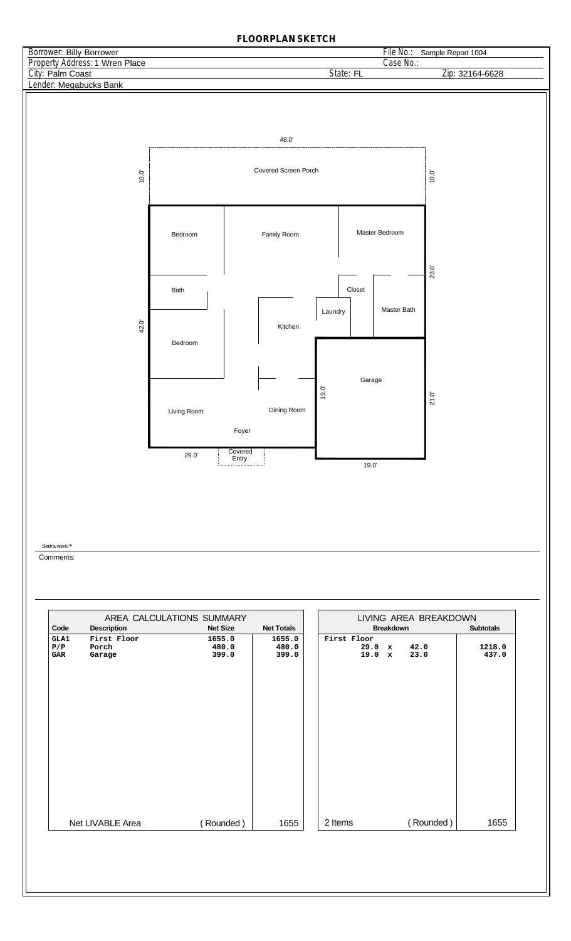### **FLOORPLAN SKETCH**

| Borrower: Billy Borrower       | File No.: | Sample Report 1004 |
|--------------------------------|-----------|--------------------|
| Property Address: 1 Wren Place | Case No.: |                    |
| City: Palm Coast               | State: FI | Zip: 32164-6628    |
| Lender: Megabucks Bank         |           |                    |
|                                |           |                    |



Sketch by Apex M™

Comments:

| AREA CALCULATIONS SUMMARY |                                |                          |                          |                                      | LIVING AREA BREAKDOWN        |                 |  |
|---------------------------|--------------------------------|--------------------------|--------------------------|--------------------------------------|------------------------------|-----------------|--|
| Code                      | <b>Description</b>             | <b>Net Size</b>          | <b>Net Totals</b>        | <b>Breakdown</b><br><b>Subtotals</b> |                              |                 |  |
| GLA1<br>P/P<br><b>GAR</b> | First Floor<br>Porch<br>Garage | 1655.0<br>480.0<br>399.0 | 1655.0<br>480.0<br>399.0 | First Floor<br>29.0<br>$19.0 \times$ | 42.0<br>$\mathbf{x}$<br>23.0 | 1218.0<br>437.0 |  |
|                           |                                |                          |                          |                                      |                              |                 |  |
|                           |                                |                          |                          |                                      |                              |                 |  |
|                           |                                |                          |                          |                                      |                              |                 |  |
|                           |                                |                          |                          |                                      |                              |                 |  |
|                           |                                |                          |                          |                                      |                              |                 |  |
|                           | Net LIVABLE Area               | (Rounded)                | 1655                     | 2 Items                              | (Rounded)                    | 1655            |  |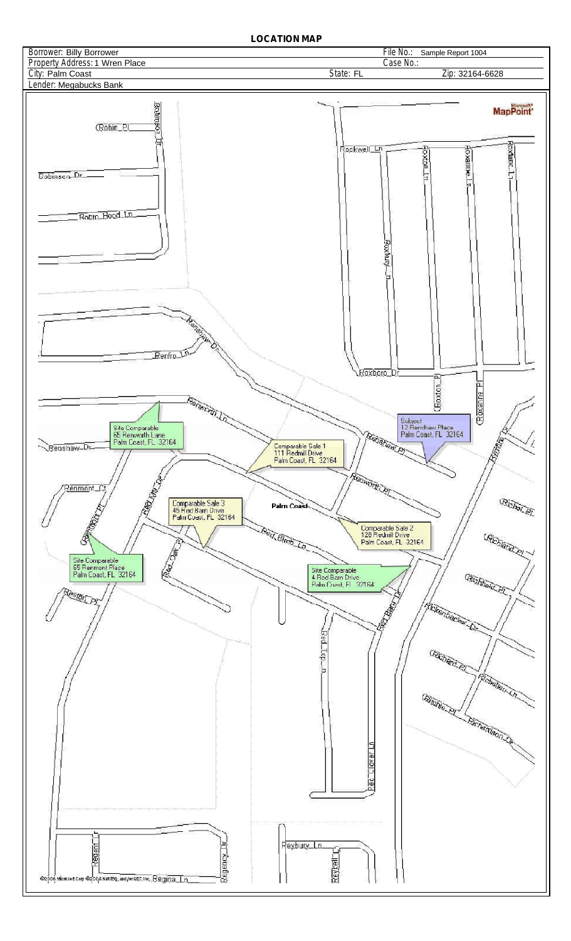**LOCATION MAP**